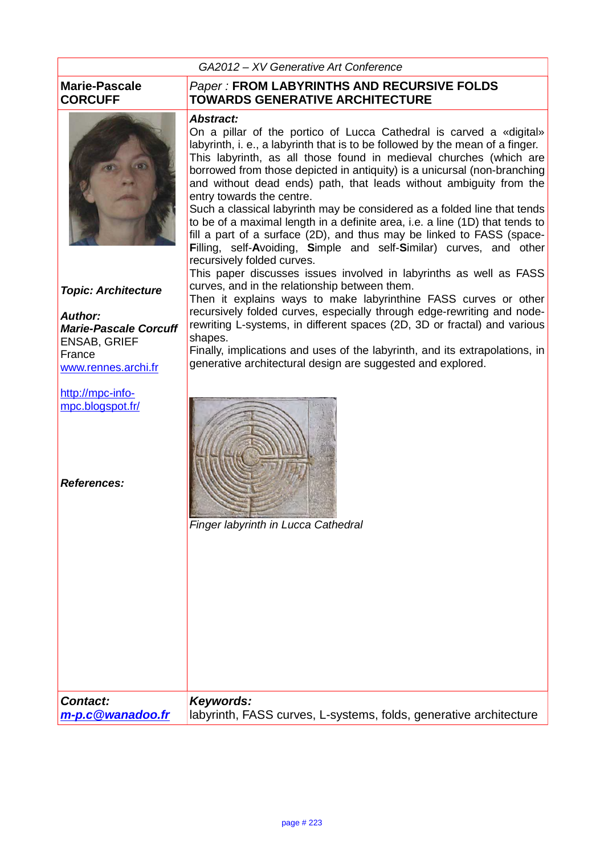#### **Marie-Pascale CORCUFF**



**Topic: Architecture**

**Author: Marie-Pascale Corcuff** ENSAB, GRIEF France www.rennes.archi.fr

http://mpc-infompc.blogspot.fr/

**References:**

Paper : **FROM LABYRINTHS AND RECURSIVE FOLDS TOWARDS GENERATIVE ARCHITECTURE**

#### **Abstract:**

On a pillar of the portico of Lucca Cathedral is carved a «digital» labyrinth, i. e., a labyrinth that is to be followed by the mean of a finger. This labyrinth, as all those found in medieval churches (which are borrowed from those depicted in antiquity) is a unicursal (non-branching and without dead ends) path, that leads without ambiguity from the entry towards the centre.

Such a classical labyrinth may be considered as a folded line that tends to be of a maximal length in a definite area, i.e. a line (1D) that tends to fill a part of a surface (2D), and thus may be linked to FASS (space-**F**illing, self-**A**voiding, **S**imple and self-**S**imilar) curves, and other recursively folded curves.

This paper discusses issues involved in labyrinths as well as FASS curves, and in the relationship between them.

Then it explains ways to make labyrinthine FASS curves or other recursively folded curves, especially through edge-rewriting and noderewriting L-systems, in different spaces (2D, 3D or fractal) and various shapes.

Finally, implications and uses of the labyrinth, and its extrapolations, in generative architectural design are suggested and explored.



Finger labyrinth in Lucca Cathedral

|                                     | <i>i inger labynnun in Lucca Cauleulai</i>                                     |
|-------------------------------------|--------------------------------------------------------------------------------|
|                                     |                                                                                |
|                                     |                                                                                |
|                                     |                                                                                |
|                                     |                                                                                |
|                                     |                                                                                |
|                                     |                                                                                |
|                                     |                                                                                |
|                                     |                                                                                |
|                                     |                                                                                |
|                                     |                                                                                |
|                                     |                                                                                |
| <b>Contact:</b><br>m-p.c@wanadoo.fr | Keywords:<br>labyrinth, FASS curves, L-systems, folds, generative architecture |
|                                     |                                                                                |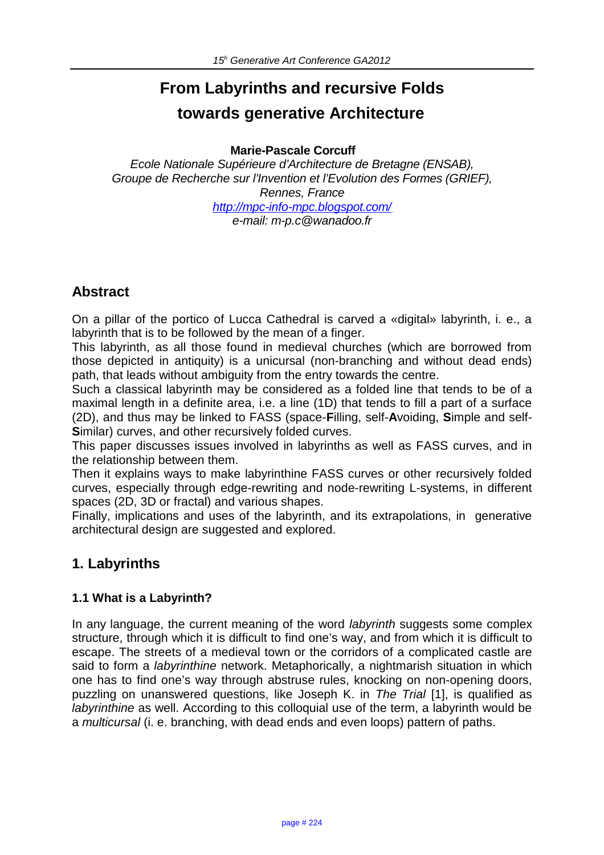# **From Labyrinths and recursive Folds towards generative Architecture**

**Marie-Pascale Corcuff**

Ecole Nationale Supérieure d'Architecture de Bretagne (ENSAB), Groupe de Recherche sur l'Invention et l'Evolution des Formes (GRIEF), Rennes, France http://mpc-info-mpc.blogspot.com/ e-mail: m-p.c@wanadoo.fr

## **Abstract**

On a pillar of the portico of Lucca Cathedral is carved a «digital» labyrinth, i. e., a labyrinth that is to be followed by the mean of a finger.

This labyrinth, as all those found in medieval churches (which are borrowed from those depicted in antiquity) is a unicursal (non-branching and without dead ends) path, that leads without ambiguity from the entry towards the centre.

Such a classical labyrinth may be considered as a folded line that tends to be of a maximal length in a definite area, i.e. a line (1D) that tends to fill a part of a surface (2D), and thus may be linked to FASS (space-**F**illing, self-**A**voiding, **S**imple and self-**S**imilar) curves, and other recursively folded curves.

This paper discusses issues involved in labyrinths as well as FASS curves, and in the relationship between them.

Then it explains ways to make labyrinthine FASS curves or other recursively folded curves, especially through edge-rewriting and node-rewriting L-systems, in different spaces (2D, 3D or fractal) and various shapes.

Finally, implications and uses of the labyrinth, and its extrapolations, in generative architectural design are suggested and explored.

## **1. Labyrinths**

#### **1.1 What is a Labyrinth?**

In any language, the current meaning of the word *labyrinth* suggests some complex structure, through which it is difficult to find one's way, and from which it is difficult to escape. The streets of a medieval town or the corridors of a complicated castle are said to form a *labyrinthine* network. Metaphorically, a nightmarish situation in which one has to find one's way through abstruse rules, knocking on non-opening doors, puzzling on unanswered questions, like Joseph K. in The Trial [1], is qualified as labyrinthine as well. According to this colloquial use of the term, a labyrinth would be a multicursal (i. e. branching, with dead ends and even loops) pattern of paths.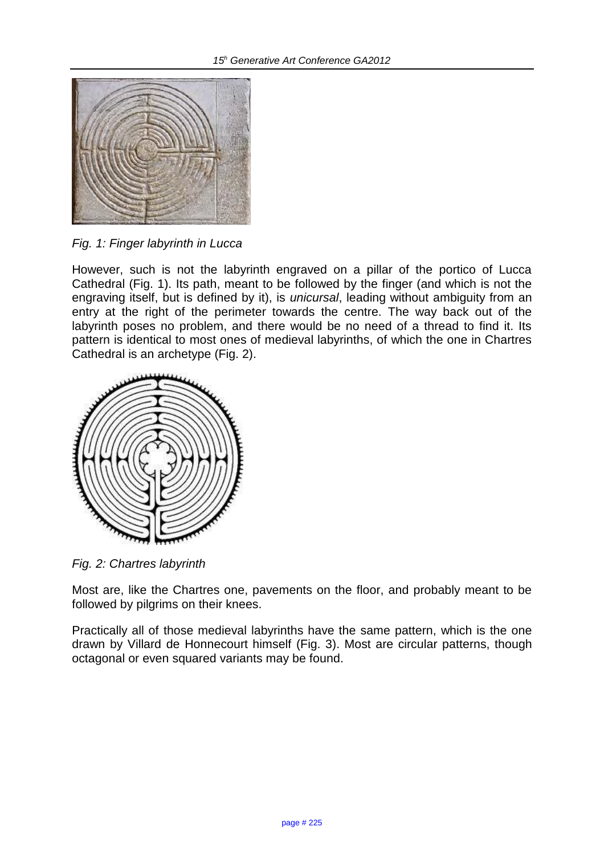

Fig. 1: Finger labyrinth in Lucca

However, such is not the labyrinth engraved on a pillar of the portico of Lucca Cathedral (Fig. 1). Its path, meant to be followed by the finger (and which is not the engraving itself, but is defined by it), is unicursal, leading without ambiguity from an entry at the right of the perimeter towards the centre. The way back out of the labyrinth poses no problem, and there would be no need of a thread to find it. Its pattern is identical to most ones of medieval labyrinths, of which the one in Chartres Cathedral is an archetype (Fig. 2).



Fig. 2: Chartres labyrinth

Most are, like the Chartres one, pavements on the floor, and probably meant to be followed by pilgrims on their knees.

Practically all of those medieval labyrinths have the same pattern, which is the one drawn by Villard de Honnecourt himself (Fig. 3). Most are circular patterns, though octagonal or even squared variants may be found.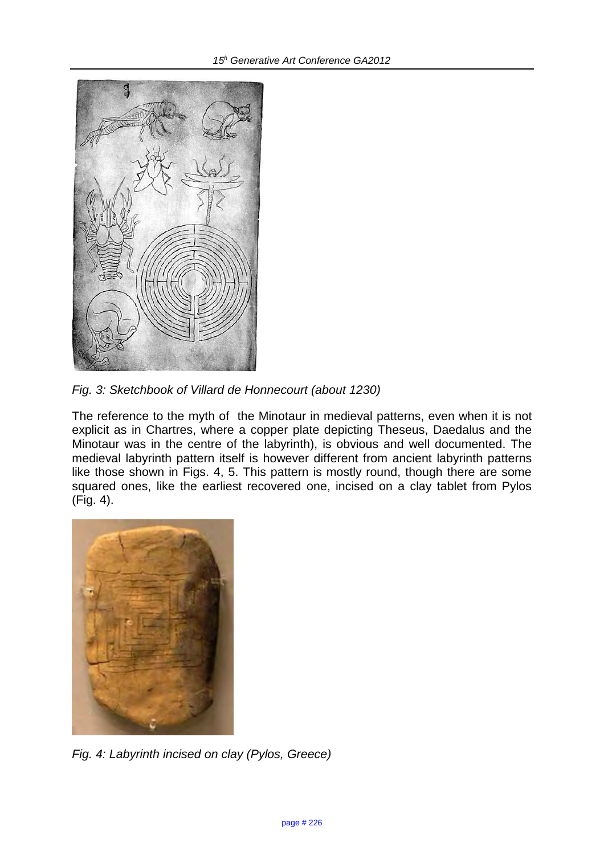

Fig. 3: Sketchbook of Villard de Honnecourt (about 1230)

The reference to the myth of the Minotaur in medieval patterns, even when it is not explicit as in Chartres, where a copper plate depicting Theseus, Daedalus and the Minotaur was in the centre of the labyrinth), is obvious and well documented. The medieval labyrinth pattern itself is however different from ancient labyrinth patterns like those shown in Figs. 4, 5. This pattern is mostly round, though there are some squared ones, like the earliest recovered one, incised on a clay tablet from Pylos (Fig. 4).



Fig. 4: Labyrinth incised on clay (Pylos, Greece)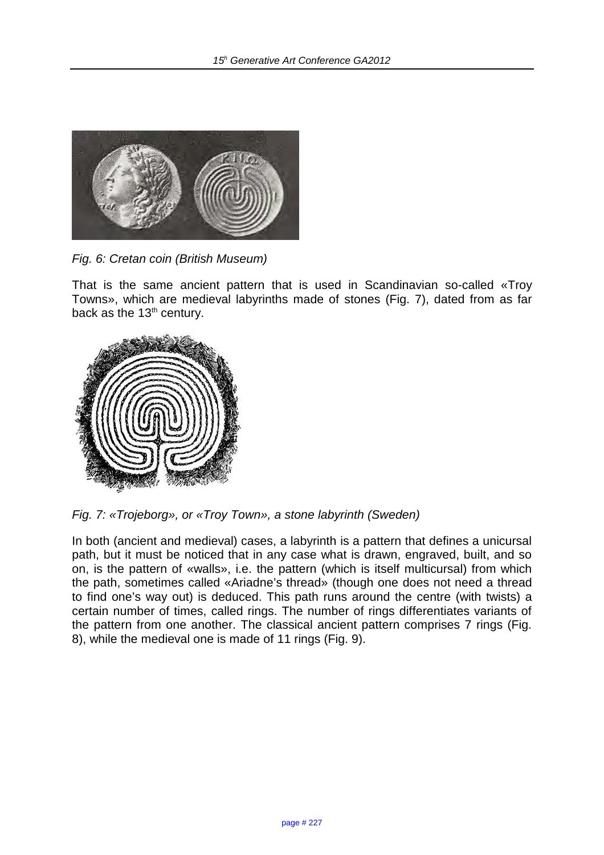

Fig. 6: Cretan coin (British Museum)

That is the same ancient pattern that is used in Scandinavian so-called «Troy Towns», which are medieval labyrinths made of stones (Fig. 7), dated from as far back as the  $13<sup>th</sup>$  century.



Fig. 7: «Trojeborg», or «Troy Town», a stone labyrinth (Sweden)

In both (ancient and medieval) cases, a labyrinth is a pattern that defines a unicursal path, but it must be noticed that in any case what is drawn, engraved, built, and so on, is the pattern of «walls», i.e. the pattern (which is itself multicursal) from which the path, sometimes called «Ariadne's thread» (though one does not need a thread to find one's way out) is deduced. This path runs around the centre (with twists) a certain number of times, called rings. The number of rings differentiates variants of the pattern from one another. The classical ancient pattern comprises 7 rings (Fig. 8), while the medieval one is made of 11 rings (Fig. 9).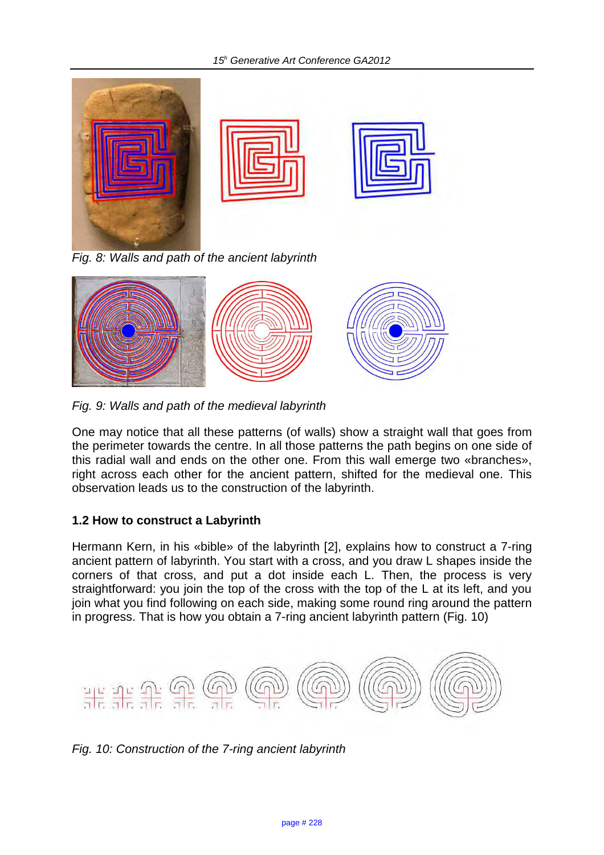

Fig. 8: Walls and path of the ancient labyrinth



Fig. 9: Walls and path of the medieval labyrinth

One may notice that all these patterns (of walls) show a straight wall that goes from the perimeter towards the centre. In all those patterns the path begins on one side of this radial wall and ends on the other one. From this wall emerge two «branches», right across each other for the ancient pattern, shifted for the medieval one. This observation leads us to the construction of the labyrinth.

### **1.2 How to construct a Labyrinth**

Hermann Kern, in his «bible» of the labyrinth [2], explains how to construct a 7-ring ancient pattern of labyrinth. You start with a cross, and you draw L shapes inside the corners of that cross, and put a dot inside each L. Then, the process is very straightforward: you join the top of the cross with the top of the L at its left, and you join what you find following on each side, making some round ring around the pattern in progress. That is how you obtain a 7-ring ancient labyrinth pattern (Fig. 10)



Fig. 10: Construction of the 7-ring ancient labyrinth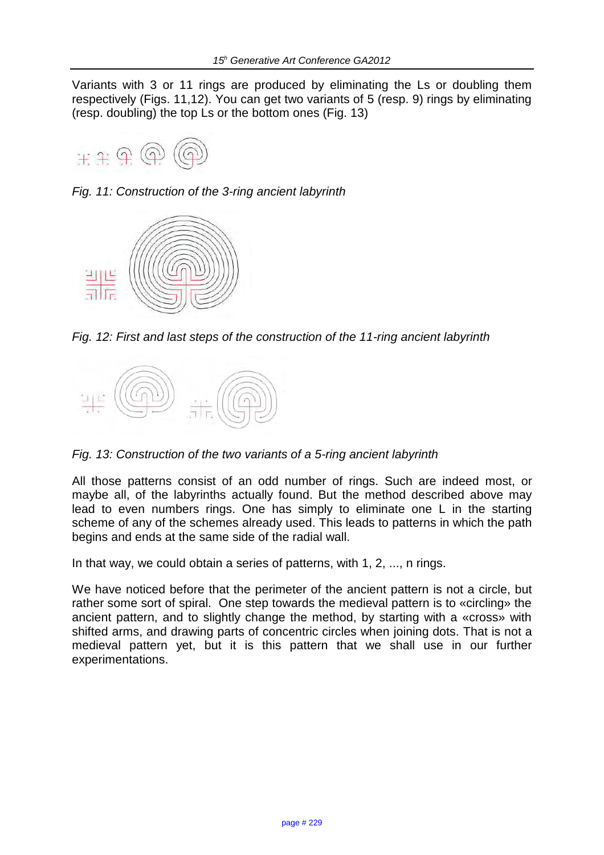Variants with 3 or 11 rings are produced by eliminating the Ls or doubling them respectively (Figs. 11,12). You can get two variants of 5 (resp. 9) rings by eliminating (resp. doubling) the top Ls or the bottom ones (Fig. 13)



Fig. 11: Construction of the 3-ring ancient labyrinth



Fig. 12: First and last steps of the construction of the 11-ring ancient labyrinth



Fig. 13: Construction of the two variants of a 5-ring ancient labyrinth

All those patterns consist of an odd number of rings. Such are indeed most, or maybe all, of the labyrinths actually found. But the method described above may lead to even numbers rings. One has simply to eliminate one L in the starting scheme of any of the schemes already used. This leads to patterns in which the path begins and ends at the same side of the radial wall.

In that way, we could obtain a series of patterns, with 1, 2, ..., n rings.

We have noticed before that the perimeter of the ancient pattern is not a circle, but rather some sort of spiral. One step towards the medieval pattern is to «circling» the ancient pattern, and to slightly change the method, by starting with a «cross» with shifted arms, and drawing parts of concentric circles when joining dots. That is not a medieval pattern yet, but it is this pattern that we shall use in our further experimentations.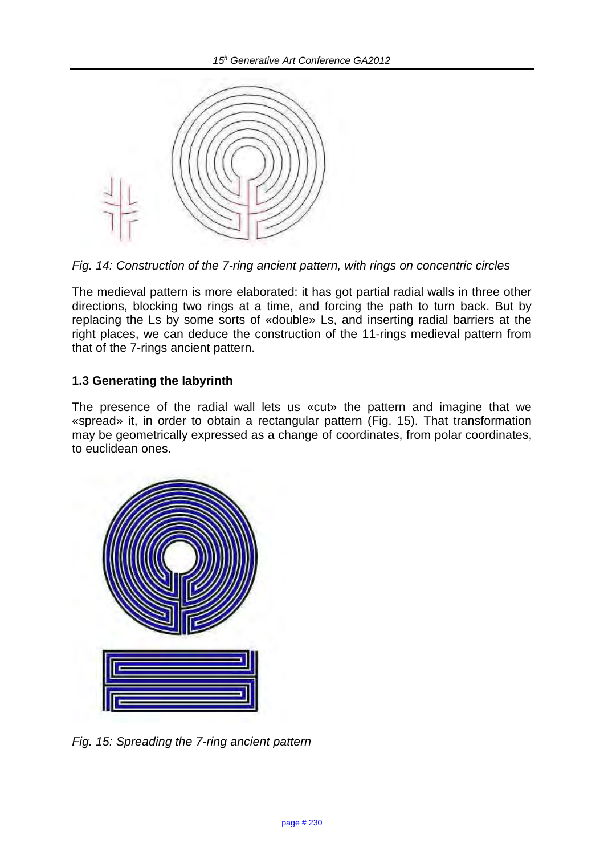

Fig. 14: Construction of the 7-ring ancient pattern, with rings on concentric circles

The medieval pattern is more elaborated: it has got partial radial walls in three other directions, blocking two rings at a time, and forcing the path to turn back. But by replacing the Ls by some sorts of «double» Ls, and inserting radial barriers at the right places, we can deduce the construction of the 11-rings medieval pattern from that of the 7-rings ancient pattern.

#### **1.3 Generating the labyrinth**

The presence of the radial wall lets us «cut» the pattern and imagine that we «spread» it, in order to obtain a rectangular pattern (Fig. 15). That transformation may be geometrically expressed as a change of coordinates, from polar coordinates, to euclidean ones.



Fig. 15: Spreading the 7-ring ancient pattern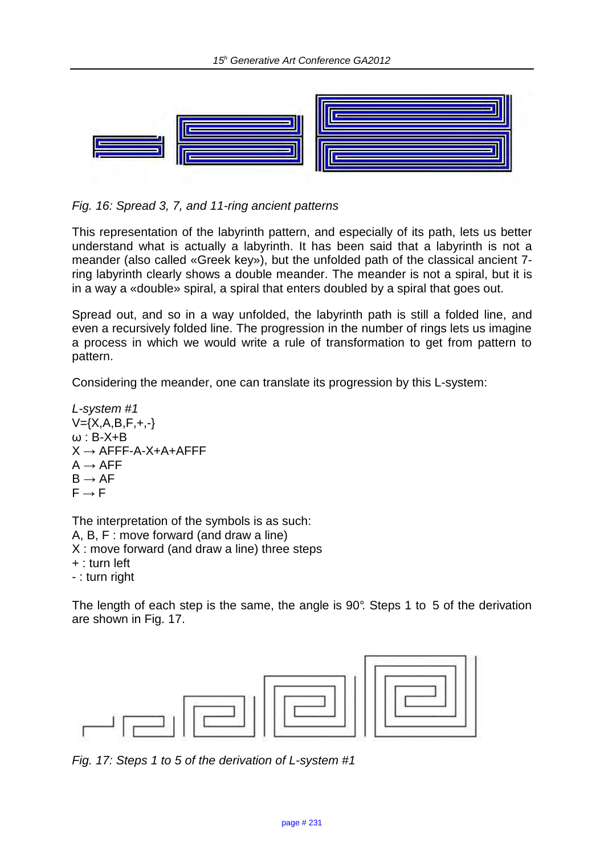

Fig. 16: Spread 3, 7, and 11-ring ancient patterns

This representation of the labyrinth pattern, and especially of its path, lets us better understand what is actually a labyrinth. It has been said that a labyrinth is not a meander (also called «Greek key»), but the unfolded path of the classical ancient 7 ring labyrinth clearly shows a double meander. The meander is not a spiral, but it is in a way a «double» spiral, a spiral that enters doubled by a spiral that goes out.

Spread out, and so in a way unfolded, the labyrinth path is still a folded line, and even a recursively folded line. The progression in the number of rings lets us imagine a process in which we would write a rule of transformation to get from pattern to pattern.

Considering the meander, one can translate its progression by this L-system:

$$
L\text{-system #1}\nV=(X,A,B,F,+,-}\n\omega:B-X+B\nX \to AFFF-A-X+A+AFFF\nA \to AF\nB \to AF\nF \to F
$$

The interpretation of the symbols is as such: A, B, F : move forward (and draw a line) X : move forward (and draw a line) three steps + : turn left - : turn right

The length of each step is the same, the angle is 90°. Steps 1 to 5 of the derivation are shown in Fig. 17.



Fig. 17: Steps 1 to 5 of the derivation of L-system #1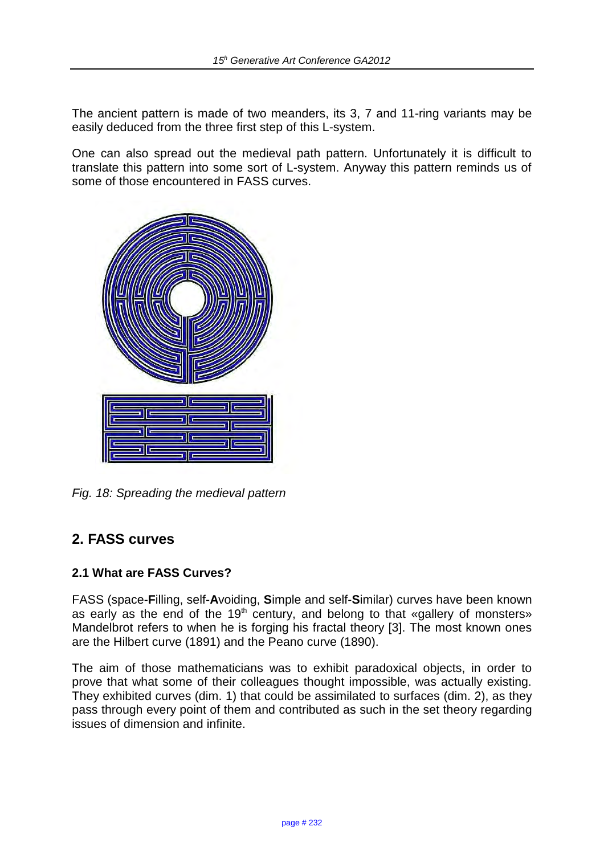The ancient pattern is made of two meanders, its 3, 7 and 11-ring variants may be easily deduced from the three first step of this L-system.

One can also spread out the medieval path pattern. Unfortunately it is difficult to translate this pattern into some sort of L-system. Anyway this pattern reminds us of some of those encountered in FASS curves.



Fig. 18: Spreading the medieval pattern

## **2. FASS curves**

#### **2.1 What are FASS Curves?**

FASS (space-**F**illing, self-**A**voiding, **S**imple and self-**S**imilar) curves have been known as early as the end of the  $19<sup>th</sup>$  century, and belong to that «gallery of monsters» Mandelbrot refers to when he is forging his fractal theory [3]. The most known ones are the Hilbert curve (1891) and the Peano curve (1890).

The aim of those mathematicians was to exhibit paradoxical objects, in order to prove that what some of their colleagues thought impossible, was actually existing. They exhibited curves (dim. 1) that could be assimilated to surfaces (dim. 2), as they pass through every point of them and contributed as such in the set theory regarding issues of dimension and infinite.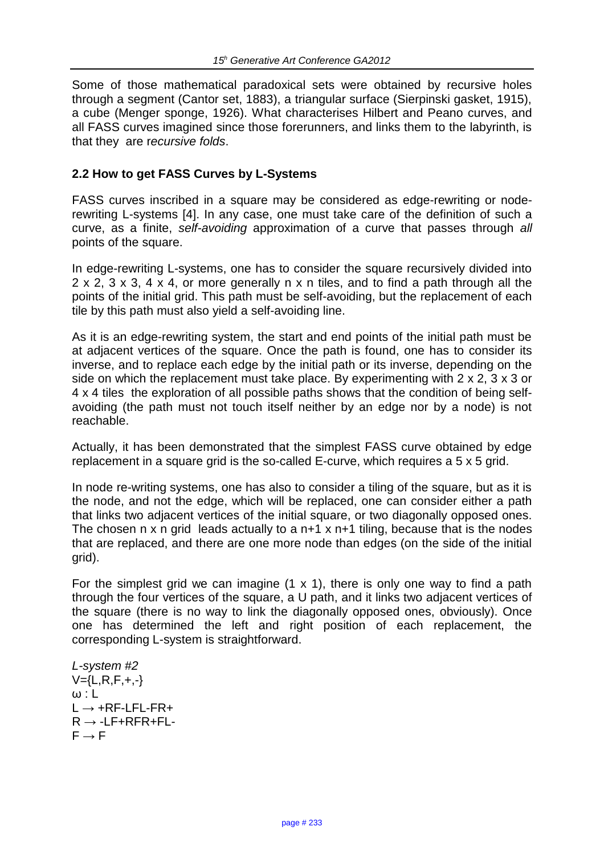Some of those mathematical paradoxical sets were obtained by recursive holes through a segment (Cantor set, 1883), a triangular surface (Sierpinski gasket, 1915), a cube (Menger sponge, 1926). What characterises Hilbert and Peano curves, and all FASS curves imagined since those forerunners, and links them to the labyrinth, is that they are recursive folds.

#### **2.2 How to get FASS Curves by L-Systems**

FASS curves inscribed in a square may be considered as edge-rewriting or noderewriting L-systems [4]. In any case, one must take care of the definition of such a curve, as a finite, self-avoiding approximation of a curve that passes through all points of the square.

In edge-rewriting L-systems, one has to consider the square recursively divided into 2 x 2, 3 x 3, 4 x 4, or more generally n x n tiles, and to find a path through all the points of the initial grid. This path must be self-avoiding, but the replacement of each tile by this path must also yield a self-avoiding line.

As it is an edge-rewriting system, the start and end points of the initial path must be at adjacent vertices of the square. Once the path is found, one has to consider its inverse, and to replace each edge by the initial path or its inverse, depending on the side on which the replacement must take place. By experimenting with 2 x 2, 3 x 3 or 4 x 4 tiles the exploration of all possible paths shows that the condition of being selfavoiding (the path must not touch itself neither by an edge nor by a node) is not reachable.

Actually, it has been demonstrated that the simplest FASS curve obtained by edge replacement in a square grid is the so-called E-curve, which requires a 5 x 5 grid.

In node re-writing systems, one has also to consider a tiling of the square, but as it is the node, and not the edge, which will be replaced, one can consider either a path that links two adjacent vertices of the initial square, or two diagonally opposed ones. The chosen  $n \times n$  grid leads actually to a  $n+1 \times n+1$  tiling, because that is the nodes that are replaced, and there are one more node than edges (on the side of the initial grid).

For the simplest grid we can imagine  $(1 \times 1)$ , there is only one way to find a path through the four vertices of the square, a U path, and it links two adjacent vertices of the square (there is no way to link the diagonally opposed ones, obviously). Once one has determined the left and right position of each replacement, the corresponding L-system is straightforward.

```
L-system #2
V = \{L, R, F, +, -\}\omega : L
L \rightarrow +RF-LFL-FR+
R \rightarrow -LF+RFR+FL-F \rightarrow F
```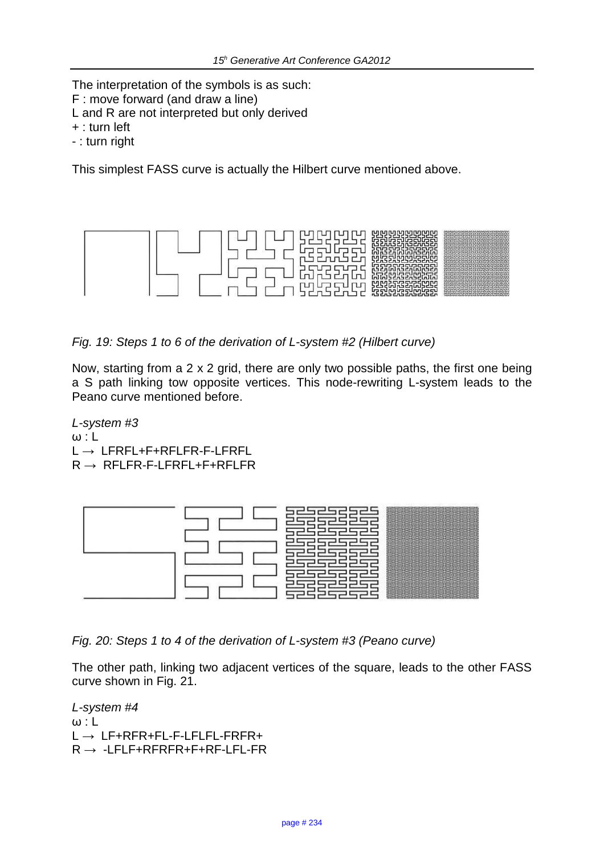The interpretation of the symbols is as such:

- F : move forward (and draw a line)
- L and R are not interpreted but only derived
- + : turn left
- : turn right

This simplest FASS curve is actually the Hilbert curve mentioned above.



Fig. 19: Steps 1 to 6 of the derivation of L-system #2 (Hilbert curve)

Now, starting from a 2 x 2 grid, there are only two possible paths, the first one being a S path linking tow opposite vertices. This node-rewriting L-system leads to the Peano curve mentioned before.

L-system #3  $ω: L$ L → LFRFL+F+RFLFR-F-LFRFL  $R \rightarrow RFLFR-F-LFRFL+F+RFLFR$ 



Fig. 20: Steps 1 to 4 of the derivation of L-system #3 (Peano curve)

The other path, linking two adjacent vertices of the square, leads to the other FASS curve shown in Fig. 21.

L-system #4  $ω: L$  $L \rightarrow L$ F+RFR+FL-F-LFLFL-FRFR+  $R \rightarrow -LFLF+RFRFR+F+RF-LFL-FR$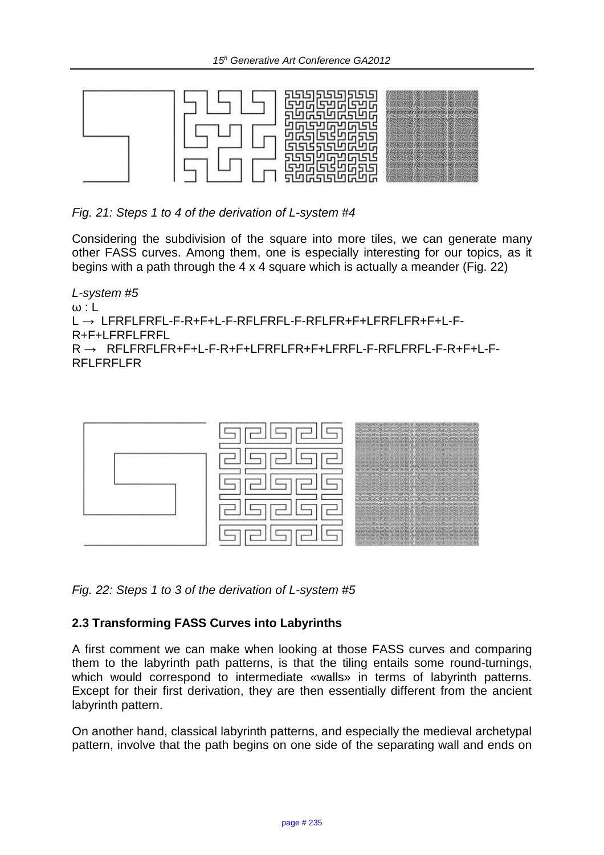

Fig. 21: Steps 1 to 4 of the derivation of L-system #4

Considering the subdivision of the square into more tiles, we can generate many other FASS curves. Among them, one is especially interesting for our topics, as it begins with a path through the 4 x 4 square which is actually a meander (Fig. 22)

L-system #5  $\omega$  : L L → LFRFLFRFL-F-R+F+L-F-RFLFRFL-F-RFLFR+F+LFRFLFR+F+L-F-R+F+LFRFLFRFL R → RFLFRFLFR+F+L-F-R+F+LFRFLFR+F+LFRFL-F-RFLFRFL-F-R+F+L-F-RFLFRFLFR



Fig. 22: Steps 1 to 3 of the derivation of L-system #5

#### **2.3 Transforming FASS Curves into Labyrinths**

A first comment we can make when looking at those FASS curves and comparing them to the labyrinth path patterns, is that the tiling entails some round-turnings, which would correspond to intermediate «walls» in terms of labyrinth patterns. Except for their first derivation, they are then essentially different from the ancient labyrinth pattern.

On another hand, classical labyrinth patterns, and especially the medieval archetypal pattern, involve that the path begins on one side of the separating wall and ends on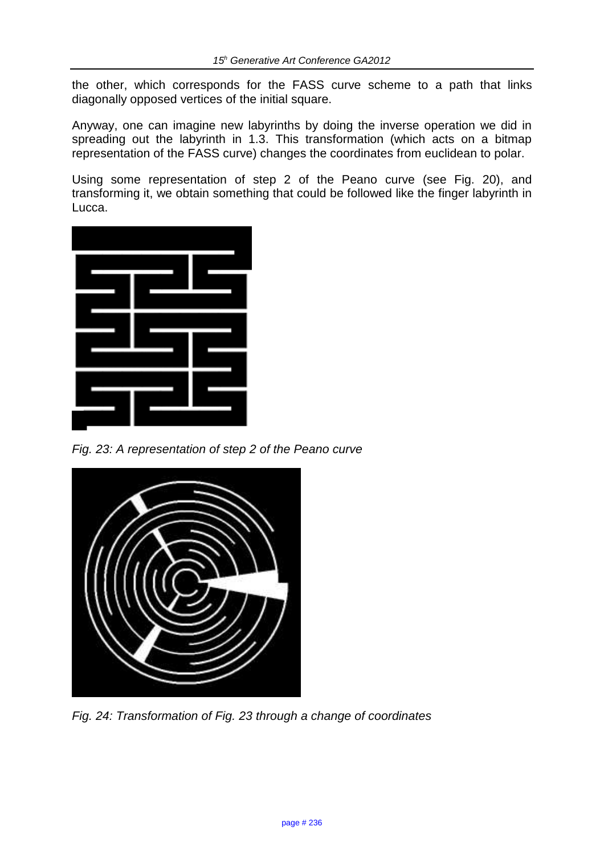the other, which corresponds for the FASS curve scheme to a path that links diagonally opposed vertices of the initial square.

Anyway, one can imagine new labyrinths by doing the inverse operation we did in spreading out the labyrinth in 1.3. This transformation (which acts on a bitmap representation of the FASS curve) changes the coordinates from euclidean to polar.

Using some representation of step 2 of the Peano curve (see Fig. 20), and transforming it, we obtain something that could be followed like the finger labyrinth in Lucca.



Fig. 23: A representation of step 2 of the Peano curve



Fig. 24: Transformation of Fig. 23 through a change of coordinates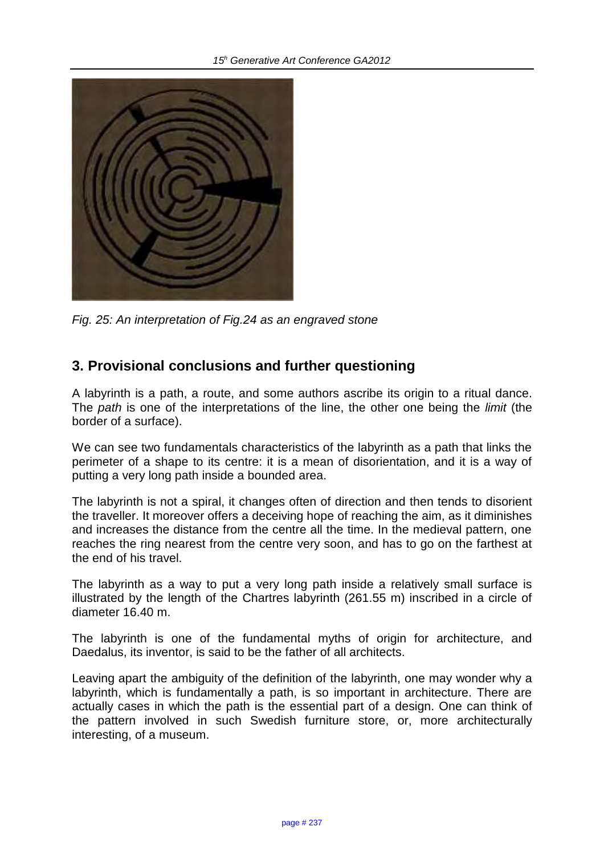

Fig. 25: An interpretation of Fig.24 as an engraved stone

## **3. Provisional conclusions and further questioning**

A labyrinth is a path, a route, and some authors ascribe its origin to a ritual dance. The *path* is one of the interpretations of the line, the other one being the *limit* (the border of a surface).

We can see two fundamentals characteristics of the labyrinth as a path that links the perimeter of a shape to its centre: it is a mean of disorientation, and it is a way of putting a very long path inside a bounded area.

The labyrinth is not a spiral, it changes often of direction and then tends to disorient the traveller. It moreover offers a deceiving hope of reaching the aim, as it diminishes and increases the distance from the centre all the time. In the medieval pattern, one reaches the ring nearest from the centre very soon, and has to go on the farthest at the end of his travel.

The labyrinth as a way to put a very long path inside a relatively small surface is illustrated by the length of the Chartres labyrinth (261.55 m) inscribed in a circle of diameter 16.40 m.

The labyrinth is one of the fundamental myths of origin for architecture, and Daedalus, its inventor, is said to be the father of all architects.

Leaving apart the ambiguity of the definition of the labyrinth, one may wonder why a labyrinth, which is fundamentally a path, is so important in architecture. There are actually cases in which the path is the essential part of a design. One can think of the pattern involved in such Swedish furniture store, or, more architecturally interesting, of a museum.